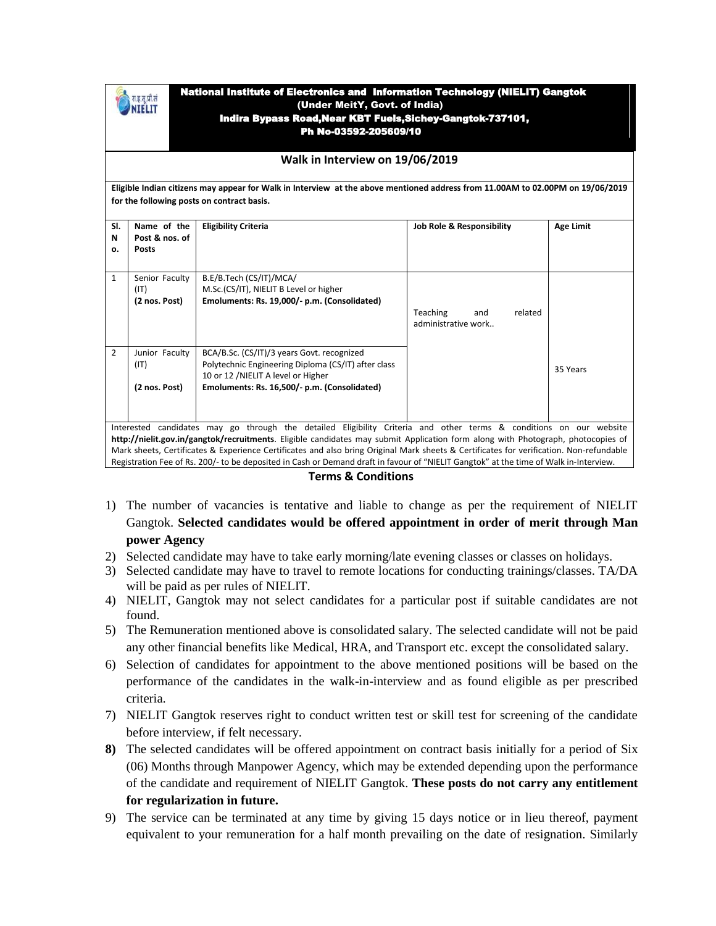| -<br>r. |  |
|---------|--|
|         |  |

## National Institute of Electronics and Information Technology (NIELIT) Gangtok (Under MeitY, Govt. of India) Indira Bypass Road,Near KBT Fuels,Sichey-Gangtok-737101, Ph No-03592-205609/10

## **Walk in Interview on 19/06/2019**

**Eligible Indian citizens may appear for Walk in Interview at the above mentioned address from 11.00AM to 02.00PM on 19/06/2019 for the following posts on contract basis.**

| SI.                                                                                                                                     | Name of the    |                                                     |                                      |           |  |
|-----------------------------------------------------------------------------------------------------------------------------------------|----------------|-----------------------------------------------------|--------------------------------------|-----------|--|
|                                                                                                                                         |                | <b>Eligibility Criteria</b>                         | <b>Job Role &amp; Responsibility</b> | Age Limit |  |
| N                                                                                                                                       | Post & nos. of |                                                     |                                      |           |  |
| о.                                                                                                                                      | <b>Posts</b>   |                                                     |                                      |           |  |
|                                                                                                                                         |                |                                                     |                                      |           |  |
| $\mathbf{1}$                                                                                                                            |                |                                                     |                                      |           |  |
|                                                                                                                                         | Senior Faculty | B.E/B.Tech (CS/IT)/MCA/                             |                                      |           |  |
|                                                                                                                                         | (IT)           | M.Sc.(CS/IT), NIELIT B Level or higher              |                                      |           |  |
|                                                                                                                                         | (2 nos. Post)  | Emoluments: Rs. 19,000/- p.m. (Consolidated)        |                                      |           |  |
|                                                                                                                                         |                |                                                     | <b>Teaching</b><br>related<br>and    |           |  |
|                                                                                                                                         |                |                                                     | administrative work                  |           |  |
|                                                                                                                                         |                |                                                     |                                      |           |  |
|                                                                                                                                         |                |                                                     |                                      |           |  |
| 2                                                                                                                                       | Junior Faculty | BCA/B.Sc. (CS/IT)/3 years Govt. recognized          |                                      |           |  |
|                                                                                                                                         |                |                                                     |                                      |           |  |
|                                                                                                                                         | (IT)           | Polytechnic Engineering Diploma (CS/IT) after class |                                      | 35 Years  |  |
|                                                                                                                                         |                | 10 or 12 /NIELIT A level or Higher                  |                                      |           |  |
|                                                                                                                                         | (2 nos. Post)  | Emoluments: Rs. 16,500/- p.m. (Consolidated)        |                                      |           |  |
|                                                                                                                                         |                |                                                     |                                      |           |  |
|                                                                                                                                         |                |                                                     |                                      |           |  |
|                                                                                                                                         |                |                                                     |                                      |           |  |
| Interested candidates may go through the detailed Eligibility Criteria and other terms & conditions on our website                      |                |                                                     |                                      |           |  |
| http://nielit.gov.in/gangtok/recruitments. Eligible candidates may submit Application form along with Photograph, photocopies of        |                |                                                     |                                      |           |  |
| Mark sheets, Certificates & Experience Certificates and also bring Original Mark sheets & Certificates for verification. Non-refundable |                |                                                     |                                      |           |  |
|                                                                                                                                         |                |                                                     |                                      |           |  |
| Registration Fee of Rs. 200/- to be deposited in Cash or Demand draft in favour of "NIELIT Gangtok" at the time of Walk in-Interview.   |                |                                                     |                                      |           |  |

## **Terms & Conditions**

- 1) The number of vacancies is tentative and liable to change as per the requirement of NIELIT Gangtok. **Selected candidates would be offered appointment in order of merit through Man power Agency**
- 2) Selected candidate may have to take early morning/late evening classes or classes on holidays.
- 3) Selected candidate may have to travel to remote locations for conducting trainings/classes. TA/DA will be paid as per rules of NIELIT.
- 4) NIELIT, Gangtok may not select candidates for a particular post if suitable candidates are not found.
- 5) The Remuneration mentioned above is consolidated salary. The selected candidate will not be paid any other financial benefits like Medical, HRA, and Transport etc. except the consolidated salary.
- 6) Selection of candidates for appointment to the above mentioned positions will be based on the performance of the candidates in the walk-in-interview and as found eligible as per prescribed criteria.
- 7) NIELIT Gangtok reserves right to conduct written test or skill test for screening of the candidate before interview, if felt necessary.
- **8)** The selected candidates will be offered appointment on contract basis initially for a period of Six (06) Months through Manpower Agency, which may be extended depending upon the performance of the candidate and requirement of NIELIT Gangtok. **These posts do not carry any entitlement for regularization in future.**
- 9) The service can be terminated at any time by giving 15 days notice or in lieu thereof, payment equivalent to your remuneration for a half month prevailing on the date of resignation. Similarly